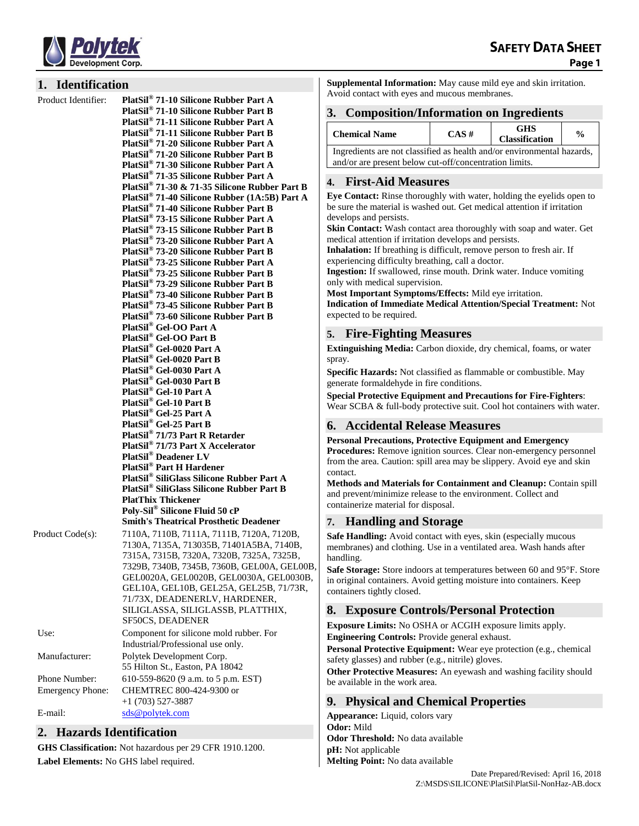

#### **1. Identification**

**Product Identifier:** 

**71-10 Silicone Rubber Part A PlatSil® 71-10 Silicone Rubber Part B PlatSil® 71-11 Silicone Rubber Part A PlatSil® 71-11 Silicone Rubber Part B PlatSil® 71-20 Silicone Rubber Part A PlatSil® 71-20 Silicone Rubber Part B PlatSil® 71-30 Silicone Rubber Part A PlatSil® 71-35 Silicone Rubber Part A PlatSil® 71-30 & 71-35 Silicone Rubber Part B PlatSil® 71-40 Silicone Rubber (1A:5B) Part A PlatSil® 71-40 Silicone Rubber Part B PlatSil® 73-15 Silicone Rubber Part A PlatSil® 73-15 Silicone Rubber Part B PlatSil® 73-20 Silicone Rubber Part A PlatSil® 73-20 Silicone Rubber Part B PlatSil® 73-25 Silicone Rubber Part A PlatSil® 73-25 Silicone Rubber Part B PlatSil® 73-29 Silicone Rubber Part B PlatSil® 73-40 Silicone Rubber Part B PlatSil® 73-45 Silicone Rubber Part B PlatSil® 73-60 Silicone Rubber Part B PlatSil® Gel-OO Part A PlatSil® Gel-OO Part B PlatSil® Gel-0020 Part A PlatSil® Gel-0020 Part B PlatSil® Gel-0030 Part A PlatSil® Gel-0030 Part B PlatSil® Gel-10 Part A PlatSil® Gel-10 Part B PlatSil® Gel-25 Part A PlatSil® Gel-25 Part B PlatSil® 71/73 Part R Retarder PlatSil® 71/73 Part X Accelerator PlatSil® Deadener LV PlatSil® Part H Hardener PlatSil® SiliGlass Silicone Rubber Part A PlatSil® SiliGlass Silicone Rubber Part B PlatThix Thickener Poly-Sil® Silicone Fluid 50 cP Smith's Theatrical Prosthetic Deadener** Product Code(s): 7110A, 7110B, 7111A, 7111B, 7120A, 7120B, 7130A, 7135A, 713035B, 71401A5BA, 7140B, 7315A, 7315B, 7320A, 7320B, 7325A, 7325B, 7329B, 7340B, 7345B, 7360B, GEL00A, GEL00B, GEL0020A, GEL0020B, GEL0030A, GEL0030B, GEL10A, GEL10B, GEL25A, GEL25B, 71/73R, 71/73X, DEADENERLV, HARDENER, SILIGLASSA, SILIGLASSB, PLATTHIX, SF50CS, DEADENER Use: Component for silicone mold rubber. For Industrial/Professional use only. Manufacturer: Polytek Development Corp. 55 Hilton St., Easton, PA 18042 Phone Number: 610-559-8620 (9 a.m. to 5 p.m. EST) Emergency Phone: CHEMTREC 800-424-9300 or +1 (703) 527-3887 E-mail: [sds@polytek.com](mailto:sds@polytek.com)

## **2. Hazards Identification**

**GHS Classification:** Not hazardous per 29 CFR 1910.1200. **Label Elements:** No GHS label required.

**Supplemental Information:** May cause mild eye and skin irritation. Avoid contact with eyes and mucous membranes.

### **3. Composition/Information on Ingredients**

| <b>Chemical Name</b>                                                   | $CAS \#$ | <b>GHS</b><br><b>Classification</b> | $\frac{0}{0}$ |
|------------------------------------------------------------------------|----------|-------------------------------------|---------------|
| Ingredients are not classified as health and/or environmental hazards, |          |                                     |               |
| and/or are present below cut-off/concentration limits.                 |          |                                     |               |

### **4. First-Aid Measures**

**Eye Contact:** Rinse thoroughly with water, holding the eyelids open to be sure the material is washed out. Get medical attention if irritation develops and persists.

**Skin Contact:** Wash contact area thoroughly with soap and water. Get medical attention if irritation develops and persists.

**Inhalation:** If breathing is difficult, remove person to fresh air. If experiencing difficulty breathing, call a doctor.

**Ingestion:** If swallowed, rinse mouth. Drink water. Induce vomiting only with medical supervision.

**Most Important Symptoms/Effects:** Mild eye irritation.

**Indication of Immediate Medical Attention/Special Treatment:** Not expected to be required.

### **5. Fire-Fighting Measures**

**Extinguishing Media:** Carbon dioxide, dry chemical, foams, or water spray.

**Specific Hazards:** Not classified as flammable or combustible. May generate formaldehyde in fire conditions.

**Special Protective Equipment and Precautions for Fire-Fighters**:

Wear SCBA & full-body protective suit. Cool hot containers with water.

## **6. Accidental Release Measures**

**Personal Precautions, Protective Equipment and Emergency Procedures:** Remove ignition sources. Clear non-emergency personnel from the area. Caution: spill area may be slippery. Avoid eye and skin contact.

**Methods and Materials for Containment and Cleanup:** Contain spill and prevent/minimize release to the environment. Collect and containerize material for disposal.

## **7. Handling and Storage**

**Safe Handling:** Avoid contact with eyes, skin (especially mucous membranes) and clothing. Use in a ventilated area. Wash hands after handling.

**Safe Storage:** Store indoors at temperatures between 60 and 95°F. Store in original containers. Avoid getting moisture into containers. Keep containers tightly closed.

## **8. Exposure Controls/Personal Protection**

**Exposure Limits:** No OSHA or ACGIH exposure limits apply. **Engineering Controls:** Provide general exhaust.

**Personal Protective Equipment:** Wear eye protection (e.g., chemical safety glasses) and rubber (e.g., nitrile) gloves.

**Other Protective Measures:** An eyewash and washing facility should be available in the work area.

## **9. Physical and Chemical Properties**

**Appearance:** Liquid, colors vary **Odor:** Mild **Odor Threshold:** No data available **pH:** Not applicable **Melting Point:** No data available